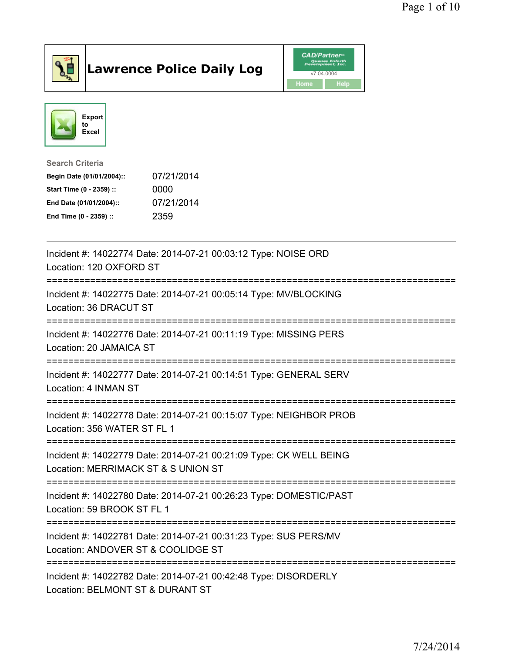

## Lawrence Police Daily Log Value of the VAD/Partner





Search Criteria

| Begin Date (01/01/2004):: | 07/21/2014 |
|---------------------------|------------|
| Start Time (0 - 2359) ::  | 0000       |
| End Date (01/01/2004)::   | 07/21/2014 |
| End Time (0 - 2359) ::    | 2359       |

| Incident #: 14022774 Date: 2014-07-21 00:03:12 Type: NOISE ORD<br>Location: 120 OXFORD ST                                                   |
|---------------------------------------------------------------------------------------------------------------------------------------------|
| Incident #: 14022775 Date: 2014-07-21 00:05:14 Type: MV/BLOCKING<br>Location: 36 DRACUT ST<br>----------------------------                  |
| Incident #: 14022776 Date: 2014-07-21 00:11:19 Type: MISSING PERS<br>Location: 20 JAMAICA ST                                                |
| Incident #: 14022777 Date: 2014-07-21 00:14:51 Type: GENERAL SERV<br>Location: 4 INMAN ST                                                   |
| Incident #: 14022778 Date: 2014-07-21 00:15:07 Type: NEIGHBOR PROB<br>Location: 356 WATER ST FL 1<br>====================================== |
| Incident #: 14022779 Date: 2014-07-21 00:21:09 Type: CK WELL BEING<br>Location: MERRIMACK ST & S UNION ST                                   |
| Incident #: 14022780 Date: 2014-07-21 00:26:23 Type: DOMESTIC/PAST<br>Location: 59 BROOK ST FL 1                                            |
| Incident #: 14022781 Date: 2014-07-21 00:31:23 Type: SUS PERS/MV<br>Location: ANDOVER ST & COOLIDGE ST<br>-----------------                 |
| Incident #: 14022782 Date: 2014-07-21 00:42:48 Type: DISORDERLY<br>Location: BELMONT ST & DURANT ST                                         |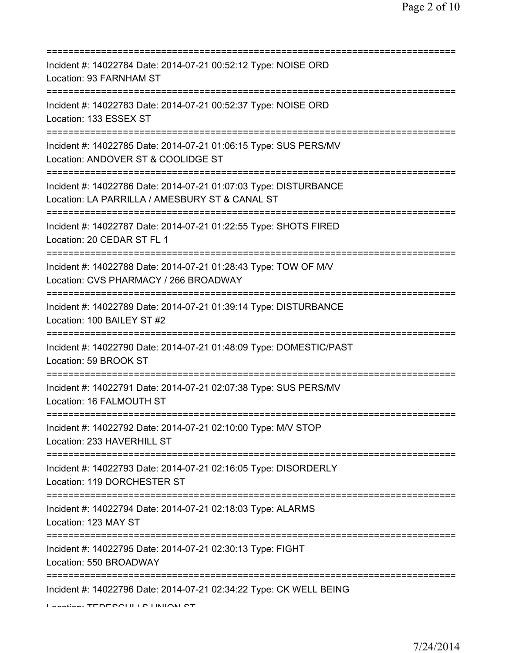| Incident #: 14022784 Date: 2014-07-21 00:52:12 Type: NOISE ORD<br>Location: 93 FARNHAM ST                                                 |
|-------------------------------------------------------------------------------------------------------------------------------------------|
| Incident #: 14022783 Date: 2014-07-21 00:52:37 Type: NOISE ORD<br>Location: 133 ESSEX ST                                                  |
| Incident #: 14022785 Date: 2014-07-21 01:06:15 Type: SUS PERS/MV<br>Location: ANDOVER ST & COOLIDGE ST<br>:============================== |
| Incident #: 14022786 Date: 2014-07-21 01:07:03 Type: DISTURBANCE<br>Location: LA PARRILLA / AMESBURY ST & CANAL ST                        |
| Incident #: 14022787 Date: 2014-07-21 01:22:55 Type: SHOTS FIRED<br>Location: 20 CEDAR ST FL 1<br>:====================================   |
| Incident #: 14022788 Date: 2014-07-21 01:28:43 Type: TOW OF M/V<br>Location: CVS PHARMACY / 266 BROADWAY                                  |
| Incident #: 14022789 Date: 2014-07-21 01:39:14 Type: DISTURBANCE<br>Location: 100 BAILEY ST #2                                            |
| Incident #: 14022790 Date: 2014-07-21 01:48:09 Type: DOMESTIC/PAST<br>Location: 59 BROOK ST                                               |
| Incident #: 14022791 Date: 2014-07-21 02:07:38 Type: SUS PERS/MV<br>Location: 16 FALMOUTH ST                                              |
| Incident #: 14022792 Date: 2014-07-21 02:10:00 Type: M/V STOP<br>Location: 233 HAVERHILL ST                                               |
| Incident #: 14022793 Date: 2014-07-21 02:16:05 Type: DISORDERLY<br>Location: 119 DORCHESTER ST                                            |
| Incident #: 14022794 Date: 2014-07-21 02:18:03 Type: ALARMS<br>Location: 123 MAY ST                                                       |
| Incident #: 14022795 Date: 2014-07-21 02:30:13 Type: FIGHT<br>Location: 550 BROADWAY                                                      |
| Incident #: 14022796 Date: 2014-07-21 02:34:22 Type: CK WELL BEING<br>Lootion TENEOOUL LO HINIONI OT                                      |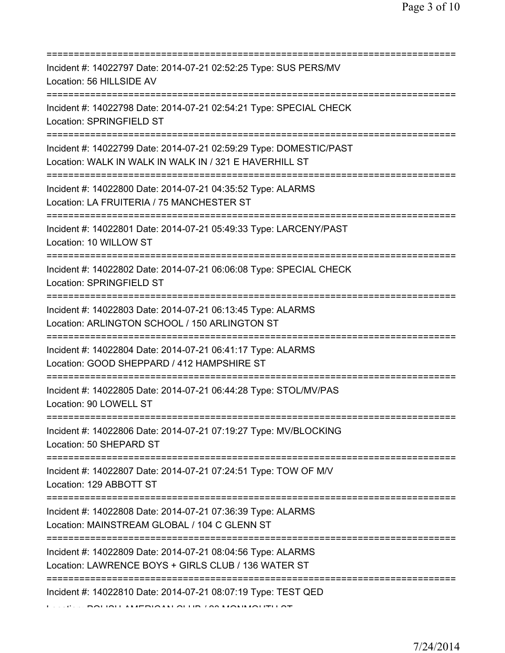| Incident #: 14022797 Date: 2014-07-21 02:52:25 Type: SUS PERS/MV<br>Location: 56 HILLSIDE AV                                         |
|--------------------------------------------------------------------------------------------------------------------------------------|
| Incident #: 14022798 Date: 2014-07-21 02:54:21 Type: SPECIAL CHECK<br>Location: SPRINGFIELD ST                                       |
| Incident #: 14022799 Date: 2014-07-21 02:59:29 Type: DOMESTIC/PAST<br>Location: WALK IN WALK IN WALK IN / 321 E HAVERHILL ST         |
| Incident #: 14022800 Date: 2014-07-21 04:35:52 Type: ALARMS<br>Location: LA FRUITERIA / 75 MANCHESTER ST                             |
| Incident #: 14022801 Date: 2014-07-21 05:49:33 Type: LARCENY/PAST<br>Location: 10 WILLOW ST                                          |
| Incident #: 14022802 Date: 2014-07-21 06:06:08 Type: SPECIAL CHECK<br>Location: SPRINGFIELD ST<br>-================================= |
| Incident #: 14022803 Date: 2014-07-21 06:13:45 Type: ALARMS<br>Location: ARLINGTON SCHOOL / 150 ARLINGTON ST                         |
| Incident #: 14022804 Date: 2014-07-21 06:41:17 Type: ALARMS<br>Location: GOOD SHEPPARD / 412 HAMPSHIRE ST                            |
| Incident #: 14022805 Date: 2014-07-21 06:44:28 Type: STOL/MV/PAS<br>Location: 90 LOWELL ST                                           |
| Incident #: 14022806 Date: 2014-07-21 07:19:27 Type: MV/BLOCKING<br>Location: 50 SHEPARD ST                                          |
| Incident #: 14022807 Date: 2014-07-21 07:24:51 Type: TOW OF M/V<br>Location: 129 ABBOTT ST                                           |
| Incident #: 14022808 Date: 2014-07-21 07:36:39 Type: ALARMS<br>Location: MAINSTREAM GLOBAL / 104 C GLENN ST                          |
| Incident #: 14022809 Date: 2014-07-21 08:04:56 Type: ALARMS<br>Location: LAWRENCE BOYS + GIRLS CLUB / 136 WATER ST                   |
| =================================<br>Incident #: 14022810 Date: 2014-07-21 08:07:19 Type: TEST QED                                   |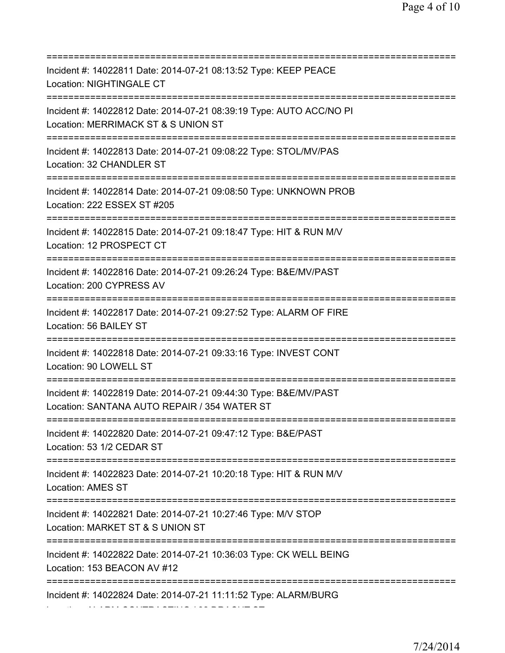=========================================================================== Incident #: 14022811 Date: 2014-07-21 08:13:52 Type: KEEP PEACE Location: NIGHTINGALE CT =========================================================================== Incident #: 14022812 Date: 2014-07-21 08:39:19 Type: AUTO ACC/NO PI Location: MERRIMACK ST & S UNION ST =========================================================================== Incident #: 14022813 Date: 2014-07-21 09:08:22 Type: STOL/MV/PAS Location: 32 CHANDLER ST =========================================================================== Incident #: 14022814 Date: 2014-07-21 09:08:50 Type: UNKNOWN PROB Location: 222 ESSEX ST #205 =========================================================================== Incident #: 14022815 Date: 2014-07-21 09:18:47 Type: HIT & RUN M/V Location: 12 PROSPECT CT =========================================================================== Incident #: 14022816 Date: 2014-07-21 09:26:24 Type: B&E/MV/PAST Location: 200 CYPRESS AV =========================================================================== Incident #: 14022817 Date: 2014-07-21 09:27:52 Type: ALARM OF FIRE Location: 56 BAILEY ST =========================================================================== Incident #: 14022818 Date: 2014-07-21 09:33:16 Type: INVEST CONT Location: 90 LOWELL ST =========================================================================== Incident #: 14022819 Date: 2014-07-21 09:44:30 Type: B&E/MV/PAST Location: SANTANA AUTO REPAIR / 354 WATER ST =========================================================================== Incident #: 14022820 Date: 2014-07-21 09:47:12 Type: B&E/PAST Location: 53 1/2 CEDAR ST =========================================================================== Incident #: 14022823 Date: 2014-07-21 10:20:18 Type: HIT & RUN M/V Location: AMES ST =========================================================================== Incident #: 14022821 Date: 2014-07-21 10:27:46 Type: M/V STOP Location: MARKET ST & S UNION ST =========================================================================== Incident #: 14022822 Date: 2014-07-21 10:36:03 Type: CK WELL BEING Location: 153 BEACON AV #12 =========================================================================== Incident #: 14022824 Date: 2014-07-21 11:11:52 Type: ALARM/BURG

Location: ALARM CONTRACTING / 82 DRACUT ST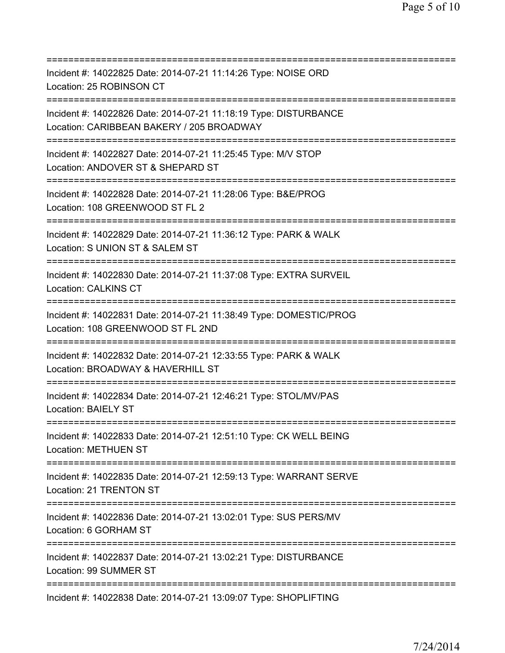| Incident #: 14022825 Date: 2014-07-21 11:14:26 Type: NOISE ORD<br>Location: 25 ROBINSON CT                                             |
|----------------------------------------------------------------------------------------------------------------------------------------|
| Incident #: 14022826 Date: 2014-07-21 11:18:19 Type: DISTURBANCE<br>Location: CARIBBEAN BAKERY / 205 BROADWAY                          |
| Incident #: 14022827 Date: 2014-07-21 11:25:45 Type: M/V STOP<br>Location: ANDOVER ST & SHEPARD ST<br>==============================   |
| Incident #: 14022828 Date: 2014-07-21 11:28:06 Type: B&E/PROG<br>Location: 108 GREENWOOD ST FL 2                                       |
| Incident #: 14022829 Date: 2014-07-21 11:36:12 Type: PARK & WALK<br>Location: S UNION ST & SALEM ST                                    |
| Incident #: 14022830 Date: 2014-07-21 11:37:08 Type: EXTRA SURVEIL<br><b>Location: CALKINS CT</b><br>================================= |
| Incident #: 14022831 Date: 2014-07-21 11:38:49 Type: DOMESTIC/PROG<br>Location: 108 GREENWOOD ST FL 2ND<br>======================      |
| Incident #: 14022832 Date: 2014-07-21 12:33:55 Type: PARK & WALK<br>Location: BROADWAY & HAVERHILL ST                                  |
| Incident #: 14022834 Date: 2014-07-21 12:46:21 Type: STOL/MV/PAS<br><b>Location: BAIELY ST</b>                                         |
| Incident #: 14022833 Date: 2014-07-21 12:51:10 Type: CK WELL BEING<br><b>Location: METHUEN ST</b>                                      |
| Incident #: 14022835 Date: 2014-07-21 12:59:13 Type: WARRANT SERVE<br>Location: 21 TRENTON ST                                          |
| Incident #: 14022836 Date: 2014-07-21 13:02:01 Type: SUS PERS/MV<br>Location: 6 GORHAM ST                                              |
| Incident #: 14022837 Date: 2014-07-21 13:02:21 Type: DISTURBANCE<br>Location: 99 SUMMER ST                                             |
| Incident #: 14022838 Date: 2014-07-21 13:09:07 Type: SHOPLIFTING                                                                       |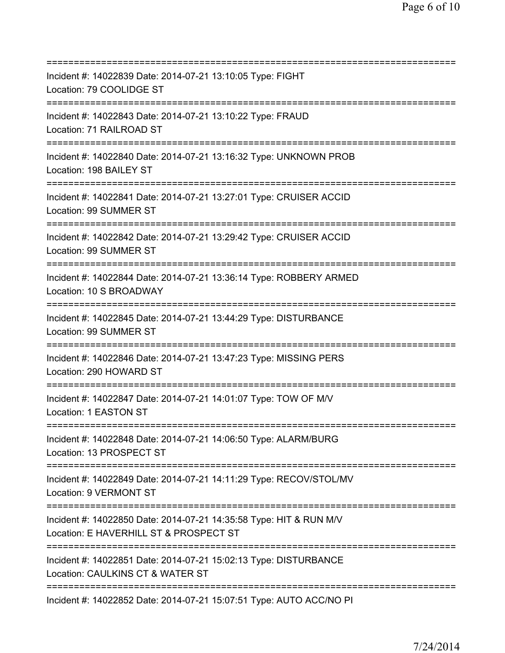=========================================================================== Incident #: 14022839 Date: 2014-07-21 13:10:05 Type: FIGHT Location: 79 COOLIDGE ST =========================================================================== Incident #: 14022843 Date: 2014-07-21 13:10:22 Type: FRAUD Location: 71 RAILROAD ST =========================================================================== Incident #: 14022840 Date: 2014-07-21 13:16:32 Type: UNKNOWN PROB Location: 198 BAILEY ST =========================================================================== Incident #: 14022841 Date: 2014-07-21 13:27:01 Type: CRUISER ACCID Location: 99 SUMMER ST =========================================================================== Incident #: 14022842 Date: 2014-07-21 13:29:42 Type: CRUISER ACCID Location: 99 SUMMER ST =========================================================================== Incident #: 14022844 Date: 2014-07-21 13:36:14 Type: ROBBERY ARMED Location: 10 S BROADWAY =========================================================================== Incident #: 14022845 Date: 2014-07-21 13:44:29 Type: DISTURBANCE Location: 99 SUMMER ST =========================================================================== Incident #: 14022846 Date: 2014-07-21 13:47:23 Type: MISSING PERS Location: 290 HOWARD ST =========================================================================== Incident #: 14022847 Date: 2014-07-21 14:01:07 Type: TOW OF M/V Location: 1 EASTON ST =========================================================================== Incident #: 14022848 Date: 2014-07-21 14:06:50 Type: ALARM/BURG Location: 13 PROSPECT ST =========================================================================== Incident #: 14022849 Date: 2014-07-21 14:11:29 Type: RECOV/STOL/MV Location: 9 VERMONT ST =========================================================================== Incident #: 14022850 Date: 2014-07-21 14:35:58 Type: HIT & RUN M/V Location: E HAVERHILL ST & PROSPECT ST =========================================================================== Incident #: 14022851 Date: 2014-07-21 15:02:13 Type: DISTURBANCE Location: CAULKINS CT & WATER ST =========================================================================== Incident #: 14022852 Date: 2014-07-21 15:07:51 Type: AUTO ACC/NO PI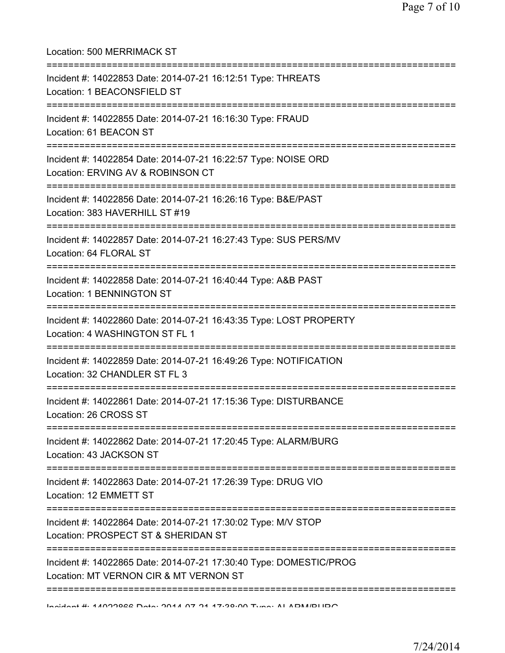| Location: 500 MERRIMACK ST                                                                                                         |
|------------------------------------------------------------------------------------------------------------------------------------|
| Incident #: 14022853 Date: 2014-07-21 16:12:51 Type: THREATS<br>Location: 1 BEACONSFIELD ST                                        |
| Incident #: 14022855 Date: 2014-07-21 16:16:30 Type: FRAUD<br>Location: 61 BEACON ST<br>===================================        |
| Incident #: 14022854 Date: 2014-07-21 16:22:57 Type: NOISE ORD<br>Location: ERVING AV & ROBINSON CT                                |
| Incident #: 14022856 Date: 2014-07-21 16:26:16 Type: B&E/PAST<br>Location: 383 HAVERHILL ST #19                                    |
| Incident #: 14022857 Date: 2014-07-21 16:27:43 Type: SUS PERS/MV<br>Location: 64 FLORAL ST<br>:========================            |
| Incident #: 14022858 Date: 2014-07-21 16:40:44 Type: A&B PAST<br>Location: 1 BENNINGTON ST<br>=================================    |
| Incident #: 14022860 Date: 2014-07-21 16:43:35 Type: LOST PROPERTY<br>Location: 4 WASHINGTON ST FL 1                               |
| Incident #: 14022859 Date: 2014-07-21 16:49:26 Type: NOTIFICATION<br>Location: 32 CHANDLER ST FL 3                                 |
| Incident #: 14022861 Date: 2014-07-21 17:15:36 Type: DISTURBANCE<br>Location: 26 CROSS ST<br>===================================== |
| Incident #: 14022862 Date: 2014-07-21 17:20:45 Type: ALARM/BURG<br>Location: 43 JACKSON ST                                         |
| Incident #: 14022863 Date: 2014-07-21 17:26:39 Type: DRUG VIO<br>Location: 12 EMMETT ST                                            |
| Incident #: 14022864 Date: 2014-07-21 17:30:02 Type: M/V STOP<br>Location: PROSPECT ST & SHERIDAN ST                               |
| Incident #: 14022865 Date: 2014-07-21 17:30:40 Type: DOMESTIC/PROG<br>Location: MT VERNON CIR & MT VERNON ST                       |
|                                                                                                                                    |

Incident #: 14022866 Date: 2014 07 21 17:38:00 Type: ALARM/BURG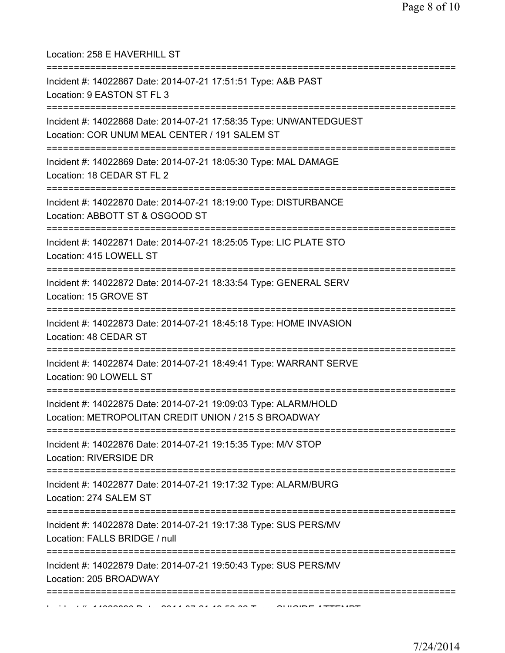| Location: 258 E HAVERHILL ST<br>==========================                                                              |
|-------------------------------------------------------------------------------------------------------------------------|
| Incident #: 14022867 Date: 2014-07-21 17:51:51 Type: A&B PAST<br>Location: 9 EASTON ST FL 3                             |
| Incident #: 14022868 Date: 2014-07-21 17:58:35 Type: UNWANTEDGUEST<br>Location: COR UNUM MEAL CENTER / 191 SALEM ST     |
| Incident #: 14022869 Date: 2014-07-21 18:05:30 Type: MAL DAMAGE<br>Location: 18 CEDAR ST FL 2                           |
| Incident #: 14022870 Date: 2014-07-21 18:19:00 Type: DISTURBANCE<br>Location: ABBOTT ST & OSGOOD ST                     |
| Incident #: 14022871 Date: 2014-07-21 18:25:05 Type: LIC PLATE STO<br>Location: 415 LOWELL ST                           |
| Incident #: 14022872 Date: 2014-07-21 18:33:54 Type: GENERAL SERV<br>Location: 15 GROVE ST                              |
| Incident #: 14022873 Date: 2014-07-21 18:45:18 Type: HOME INVASION<br>Location: 48 CEDAR ST                             |
| Incident #: 14022874 Date: 2014-07-21 18:49:41 Type: WARRANT SERVE<br>Location: 90 LOWELL ST                            |
| Incident #: 14022875 Date: 2014-07-21 19:09:03 Type: ALARM/HOLD<br>Location: METROPOLITAN CREDIT UNION / 215 S BROADWAY |
| Incident #: 14022876 Date: 2014-07-21 19:15:35 Type: M/V STOP<br>Location: RIVERSIDE DR                                 |
| Incident #: 14022877 Date: 2014-07-21 19:17:32 Type: ALARM/BURG<br>Location: 274 SALEM ST                               |
| Incident #: 14022878 Date: 2014-07-21 19:17:38 Type: SUS PERS/MV<br>Location: FALLS BRIDGE / null                       |
| Incident #: 14022879 Date: 2014-07-21 19:50:43 Type: SUS PERS/MV<br>Location: 205 BROADWAY                              |
| ======================                                                                                                  |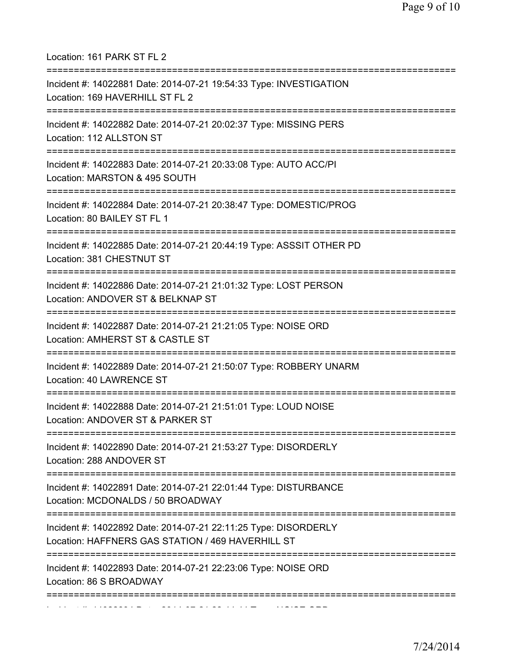| Location: 161 PARK ST FL 2                                                                                                           |
|--------------------------------------------------------------------------------------------------------------------------------------|
| Incident #: 14022881 Date: 2014-07-21 19:54:33 Type: INVESTIGATION<br>Location: 169 HAVERHILL ST FL 2<br>==========================  |
| Incident #: 14022882 Date: 2014-07-21 20:02:37 Type: MISSING PERS<br>Location: 112 ALLSTON ST                                        |
| Incident #: 14022883 Date: 2014-07-21 20:33:08 Type: AUTO ACC/PI<br>Location: MARSTON & 495 SOUTH<br>===========================     |
| Incident #: 14022884 Date: 2014-07-21 20:38:47 Type: DOMESTIC/PROG<br>Location: 80 BAILEY ST FL 1                                    |
| Incident #: 14022885 Date: 2014-07-21 20:44:19 Type: ASSSIT OTHER PD<br>Location: 381 CHESTNUT ST<br>=============================== |
| Incident #: 14022886 Date: 2014-07-21 21:01:32 Type: LOST PERSON<br>Location: ANDOVER ST & BELKNAP ST                                |
| Incident #: 14022887 Date: 2014-07-21 21:21:05 Type: NOISE ORD<br>Location: AMHERST ST & CASTLE ST                                   |
| Incident #: 14022889 Date: 2014-07-21 21:50:07 Type: ROBBERY UNARM<br>Location: 40 LAWRENCE ST                                       |
| Incident #: 14022888 Date: 2014-07-21 21:51:01 Type: LOUD NOISE<br>Location: ANDOVER ST & PARKER ST                                  |
| Incident #: 14022890 Date: 2014-07-21 21:53:27 Type: DISORDERLY<br>Location: 288 ANDOVER ST                                          |
| Incident #: 14022891 Date: 2014-07-21 22:01:44 Type: DISTURBANCE<br>Location: MCDONALDS / 50 BROADWAY                                |
| Incident #: 14022892 Date: 2014-07-21 22:11:25 Type: DISORDERLY<br>Location: HAFFNERS GAS STATION / 469 HAVERHILL ST                 |
| Incident #: 14022893 Date: 2014-07-21 22:23:06 Type: NOISE ORD<br>Location: 86 S BROADWAY                                            |
| ===================                                                                                                                  |